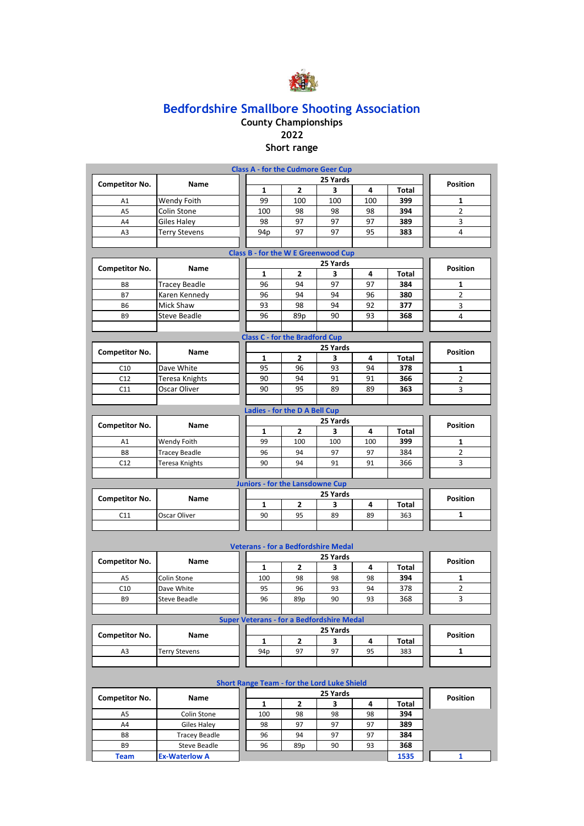

#### **County Championships 2022**

**Short range Class A - for the Cudmore Geer Cup**

|                       |                      | $\mathbf{r}$ ivective valuation                  |                                                    |               |          |              |                 |  |  |  |  |
|-----------------------|----------------------|--------------------------------------------------|----------------------------------------------------|---------------|----------|--------------|-----------------|--|--|--|--|
| <b>Competitor No.</b> | Name                 | $\mathbf{1}$                                     | $\mathbf{2}$                                       | 25 Yards<br>3 | 4        | <b>Total</b> | <b>Position</b> |  |  |  |  |
| A1                    | Wendy Foith          | 99                                               | 100                                                | 100           | 100      | 399          | 1               |  |  |  |  |
| A <sub>5</sub>        | Colin Stone          | 100                                              | 98                                                 | 98            | 98       | 394          | $\overline{2}$  |  |  |  |  |
| A4                    | <b>Giles Haley</b>   | 98                                               | 97                                                 | 97            | 97       | 389          | 3               |  |  |  |  |
| A3                    | <b>Terry Stevens</b> | 94 <sub>p</sub>                                  | 97                                                 | 97            | 95       | 383          | 4               |  |  |  |  |
|                       |                      |                                                  |                                                    |               |          |              |                 |  |  |  |  |
|                       |                      | <b>Class B - for the W E Greenwood Cup</b>       |                                                    |               |          |              |                 |  |  |  |  |
| <b>Competitor No.</b> | Name                 |                                                  | <b>Position</b>                                    |               |          |              |                 |  |  |  |  |
|                       |                      | 1                                                | $\mathbf{2}$                                       | 3             | 4        | Total        |                 |  |  |  |  |
| B8                    | <b>Tracey Beadle</b> | 96                                               | 94                                                 | 97            | 97       | 384          | 1               |  |  |  |  |
| <b>B7</b>             | Karen Kennedy        | 96                                               | 94                                                 | 94            | 96       | 380          | $\overline{2}$  |  |  |  |  |
| <b>B6</b>             | Mick Shaw            | 93                                               | 98                                                 | 94            | 92       | 377          | 3               |  |  |  |  |
| <b>B9</b>             | <b>Steve Beadle</b>  | 96                                               | 89p                                                | 90            | 93       | 368          | 4               |  |  |  |  |
|                       |                      |                                                  |                                                    |               |          |              |                 |  |  |  |  |
|                       |                      | <b>Class C - for the Bradford Cup</b>            |                                                    |               |          |              |                 |  |  |  |  |
| <b>Competitor No.</b> | <b>Name</b>          |                                                  |                                                    | 25 Yards      |          |              | <b>Position</b> |  |  |  |  |
|                       |                      | $\mathbf{1}$                                     | $\overline{2}$                                     | 3             | 4        | Total        |                 |  |  |  |  |
| C10<br>C12            | Dave White           | 95<br>90                                         | 96<br>94                                           | 93<br>91      | 94<br>91 | 378<br>366   | 1               |  |  |  |  |
|                       | Teresa Knights       |                                                  |                                                    |               |          |              | $\overline{2}$  |  |  |  |  |
| C11                   | Oscar Oliver         | 90                                               | 95                                                 | 89            | 89       | 363          | 3               |  |  |  |  |
|                       |                      | <b>Ladies - for the D A Bell Cup</b>             |                                                    |               |          |              |                 |  |  |  |  |
|                       |                      |                                                  |                                                    |               |          |              |                 |  |  |  |  |
| <b>Competitor No.</b> | Name                 | $\mathbf{1}$                                     | $\mathbf{2}$                                       | 25 Yards<br>3 | 4        | Total        | <b>Position</b> |  |  |  |  |
| A1                    | Wendy Foith          | 99                                               | 100                                                | 100           | 100      | 399          | 1               |  |  |  |  |
| B8                    | <b>Tracey Beadle</b> | 96                                               | 94                                                 | 97            | 97       | 384          | $\overline{2}$  |  |  |  |  |
| C12                   | Teresa Knights       | 90                                               | 94                                                 | 91            | 91       | 366          | 3               |  |  |  |  |
|                       |                      |                                                  |                                                    |               |          |              |                 |  |  |  |  |
|                       |                      |                                                  |                                                    |               |          |              |                 |  |  |  |  |
|                       |                      |                                                  | <b>Juniors - for the Lansdowne Cup</b><br>25 Yards |               |          |              |                 |  |  |  |  |
| <b>Competitor No.</b> | Name                 | $\mathbf{1}$                                     | $\overline{2}$                                     | 3             | 4        | Total        | <b>Position</b> |  |  |  |  |
| C11                   | Oscar Oliver         | 90                                               | 95                                                 | 89            | 89       | 363          | $\mathbf{1}$    |  |  |  |  |
|                       |                      |                                                  |                                                    |               |          |              |                 |  |  |  |  |
|                       |                      |                                                  |                                                    |               |          |              |                 |  |  |  |  |
|                       |                      | <b>Veterans - for a Bedfordshire Medal</b>       |                                                    |               |          |              |                 |  |  |  |  |
| <b>Competitor No.</b> | <b>Name</b>          |                                                  |                                                    | 25 Yards      |          |              | <b>Position</b> |  |  |  |  |
|                       |                      | $\mathbf{1}$                                     | $\mathbf{2}$                                       | 3             | 4        | <b>Total</b> |                 |  |  |  |  |
| A <sub>5</sub>        | Colin Stone          | 100                                              | 98                                                 | 98            | 98       | 394          | 1               |  |  |  |  |
| C10                   | Dave White           | 95                                               | 96                                                 | 93            | 94       | 378          | $\overline{2}$  |  |  |  |  |
| B <sub>9</sub>        | <b>Steve Beadle</b>  | 96                                               | 89p                                                | 90            | 93       | 368          | 3               |  |  |  |  |
|                       |                      |                                                  |                                                    |               |          |              |                 |  |  |  |  |
|                       |                      | <b>Super Veterans - for a Bedfordshire Medal</b> |                                                    |               |          |              |                 |  |  |  |  |
| <b>Competitor No.</b> | Name                 |                                                  |                                                    | 25 Yards      |          |              | <b>Position</b> |  |  |  |  |
|                       |                      | $\mathbf{1}$                                     | $\overline{2}$                                     | 3             | 4        | Total        |                 |  |  |  |  |
| A <sub>3</sub>        | <b>Terry Stevens</b> | 94 <sub>p</sub>                                  | 97                                                 | 97            | 95       | 383          | $\mathbf{1}$    |  |  |  |  |
|                       |                      |                                                  |                                                    |               |          |              |                 |  |  |  |  |
|                       |                      |                                                  |                                                    |               |          |              |                 |  |  |  |  |

### **Short Range Team - for the Lord Luke Shield**

| <b>Competitor No.</b> | <b>Name</b>          |     |     |    | <b>Position</b> |       |  |
|-----------------------|----------------------|-----|-----|----|-----------------|-------|--|
|                       |                      |     |     |    | 4               | Total |  |
| A <sub>5</sub>        | Colin Stone          | 100 | 98  | 98 | 98              | 394   |  |
| A4                    | Giles Haley          | 98  | 97  | 97 | 97              | 389   |  |
| B8                    | <b>Tracey Beadle</b> | 96  | 94  | 97 | 97              | 384   |  |
| B <sub>9</sub>        | Steve Beadle         | 96  | 89p | 90 | 93              | 368   |  |
| Team                  | <b>Ex-Waterlow A</b> |     |     |    |                 | 1535  |  |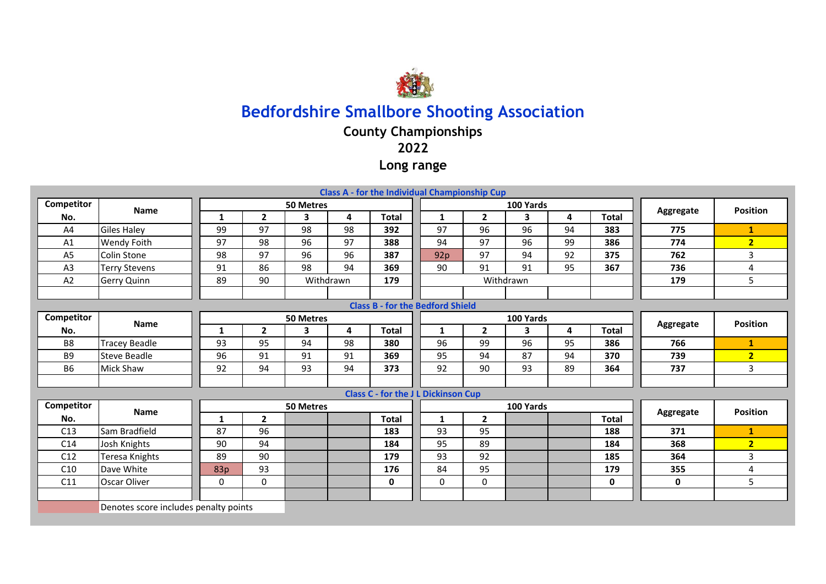

## **County Championships**

**2022**

**Long range**

|                |                                       |              |                |                  |    | <b>Class A - for the Individual Championship Cup</b> |              |                |           |           |                 |             |                 |
|----------------|---------------------------------------|--------------|----------------|------------------|----|------------------------------------------------------|--------------|----------------|-----------|-----------|-----------------|-------------|-----------------|
| Competitor     | <b>Name</b>                           |              |                | <b>50 Metres</b> |    |                                                      |              |                | 100 Yards |           |                 | Aggregate   | <b>Position</b> |
| No.            |                                       | $\mathbf{1}$ | $\overline{2}$ | 3                | 4  | <b>Total</b>                                         | $\mathbf{1}$ | $\overline{2}$ | 3         | 4         | <b>Total</b>    |             |                 |
| A4             | <b>Giles Haley</b>                    | 99           | 97             | 98               | 98 | 392                                                  | 97           | 96             | 96        | 94        | 383             | 775         | $\mathbf{1}$    |
| A1             | Wendy Foith                           | 97           | 98             | 96               | 97 | 388                                                  | 94           | 97             | 96        | 99        | 386             | 774         | 2 <sub>2</sub>  |
| A <sub>5</sub> | <b>Colin Stone</b>                    | 98           | 97             | 96               | 96 | 387                                                  | 92p          | 97             | 94        | 92        | 375             | 762         | 3               |
| A <sub>3</sub> | <b>Terry Stevens</b>                  | 91           | 86             | 98               | 94 | 369                                                  | 90           | 91             | 91        | 95        | 367             | 736         | $\overline{4}$  |
| A2             | Gerry Quinn                           | 89           | 90             | Withdrawn        |    | 179                                                  |              |                | Withdrawn |           | 179             | 5           |                 |
|                |                                       |              |                |                  |    |                                                      |              |                |           |           |                 |             |                 |
|                |                                       |              |                |                  |    | <b>Class B - for the Bedford Shield</b>              |              |                |           |           |                 |             |                 |
| Competitor     | <b>Name</b>                           |              |                | <b>50 Metres</b> |    |                                                      |              |                | 100 Yards |           |                 | Aggregate   | <b>Position</b> |
| No.            |                                       | 1            | $\mathbf{2}$   | 3                | 4  | <b>Total</b>                                         | $\mathbf{1}$ | $\overline{2}$ | 3         | 4         | <b>Total</b>    |             |                 |
| B <sub>8</sub> | <b>Tracey Beadle</b>                  | 93           | 95             | 94               | 98 | 380                                                  | 96           | 99             | 96        | 95        | 386             | 766         | $\mathbf{1}$    |
| B <sub>9</sub> | <b>Steve Beadle</b>                   | 96           | 91             | 91               | 91 | 369                                                  | 95           | 94             | 87        | 94        | 370             | 739         | 2 <sub>2</sub>  |
| <b>B6</b>      | Mick Shaw                             | 92           | 94             | 93               | 94 | 373                                                  | 92           | 90             | 93        | 89        | 364             | 737         | 3               |
|                |                                       |              |                |                  |    |                                                      |              |                |           |           |                 |             |                 |
|                |                                       |              |                |                  |    | <b>Class C - for the J L Dickinson Cup</b>           |              |                |           |           |                 |             |                 |
| Competitor     | <b>Name</b>                           |              |                | <b>50 Metres</b> |    |                                                      |              |                | 100 Yards | Aggregate | <b>Position</b> |             |                 |
| No.            |                                       | 1            | $\mathbf{2}$   |                  |    | <b>Total</b>                                         | 1            | $\overline{2}$ |           |           | <b>Total</b>    |             |                 |
| C13            | Sam Bradfield                         | 87           | 96             |                  |    | 183                                                  | 93           | 95             |           |           | 188             | 371         | $\mathbf{1}$    |
| C14            | Josh Knights                          | 90           | 94             |                  |    | 184                                                  | 95           | 89             |           |           | 184             | 368         | 2 <sub>2</sub>  |
| C12            | Teresa Knights                        | 89           | 90             |                  |    | 179                                                  | 93           | 92             |           |           | 185             | 364         | 3               |
| C10            | Dave White                            | 83p          | 93             |                  |    | 176                                                  | 84           | 95             |           |           | 179             | 355         | 4               |
| C11            | Oscar Oliver                          | $\Omega$     | $\Omega$       |                  |    | $\mathbf 0$                                          | $\mathbf 0$  | $\Omega$       |           |           | $\mathbf{0}$    | $\mathbf 0$ | 5               |
|                |                                       |              |                |                  |    |                                                      |              |                |           |           |                 |             |                 |
|                | Denotes score includes penalty points |              |                |                  |    |                                                      |              |                |           |           |                 |             |                 |
|                |                                       |              |                |                  |    |                                                      |              |                |           |           |                 |             |                 |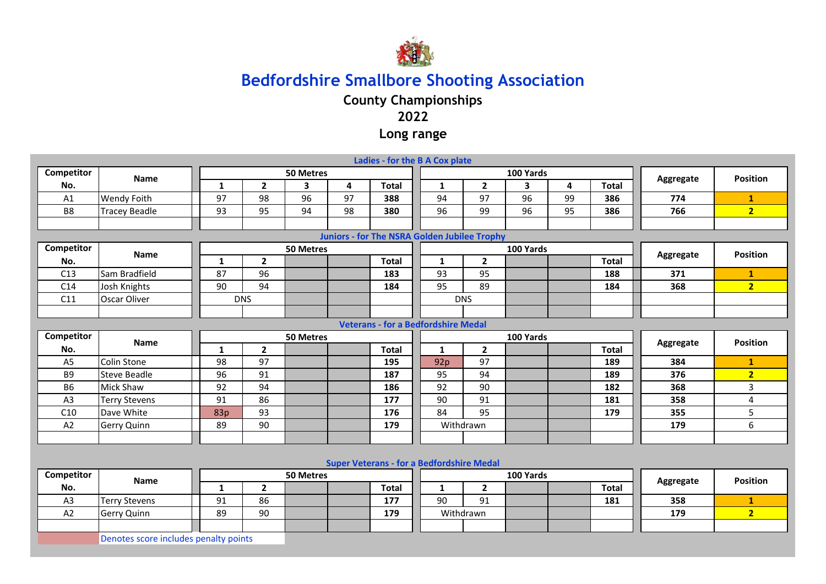

**County Championships**

### **2022**

**Long range**

| Competitor<br>100 Yards<br>50 Metres<br><b>Position</b><br><b>Name</b><br>Aggregate<br>$\overline{2}$<br>$\overline{\mathbf{3}}$<br>4<br>$\overline{2}$<br>4<br><b>Total</b><br>No.<br>$\mathbf{1}$<br><b>Total</b><br>$\mathbf{1}$<br>$\overline{\mathbf{3}}$<br>97<br>97<br>98<br>96<br>94<br>97<br>96<br>99<br>Wendy Foith<br>388<br>386<br>774<br>A1<br>$\mathbf{1}$<br>B <sub>8</sub><br>95<br>98<br>99<br>2 <sup>1</sup><br><b>Tracey Beadle</b><br>93<br>94<br>380<br>96<br>96<br>95<br>386<br>766<br>Juniors - for The NSRA Golden Jubilee Trophy<br>Competitor<br>100 Yards<br>50 Metres<br><b>Position</b><br><b>Name</b><br>Aggregate<br>$\overline{2}$<br><b>Total</b><br>No.<br>$\overline{2}$<br><b>Total</b><br>$\mathbf{1}$<br>1<br>C13<br>Sam Bradfield<br>87<br>96<br>183<br>93<br>95<br>188<br>371<br>$\mathbf{1}$<br>94<br>95<br>89<br>2 <sup>1</sup><br>C14<br>Josh Knights<br>90<br>184<br>184<br>368<br>C11<br>Oscar Oliver<br><b>DNS</b><br><b>DNS</b><br><b>Veterans - for a Bedfordshire Medal</b><br>Competitor<br>50 Metres<br>100 Yards<br><b>Position</b><br><b>Name</b><br>Aggregate<br>$\overline{2}$<br><b>Total</b><br>$\overline{2}$<br><b>Total</b><br>No.<br>$\mathbf{1}$<br>$\mathbf{1}$<br>98<br>97<br>97<br>384<br>A <sub>5</sub><br>Colin Stone<br>195<br>189<br>92p<br>$\mathbf{1}$<br>91<br>94<br>2 <sub>2</sub><br>B <sub>9</sub><br>96<br>187<br>95<br>376<br><b>Steve Beadle</b><br>189<br>94<br>90<br>3<br><b>B6</b><br><b>Mick Shaw</b><br>186<br>92<br>182<br>368<br>92<br>86<br>91<br>358<br>A <sub>3</sub><br>91<br>177<br>90<br>4<br><b>Terry Stevens</b><br>181<br>93<br>84<br>95<br>5<br>C10<br>Dave White<br>176<br>355<br>83p<br>179<br>6<br>A2<br>89<br>90<br>179<br>Withdrawn<br>179<br>Gerry Quinn<br><b>Super Veterans - for a Bedfordshire Medal</b><br>Competitor<br>100 Yards<br>50 Metres<br><b>Position</b><br>Name<br>Aggregate<br>No.<br>$\mathbf{1}$<br>$\overline{2}$<br><b>Total</b><br>$\mathbf{1}$<br>$\overline{2}$<br><b>Total</b><br>86<br>90<br>91<br>A <sub>3</sub><br>91<br>177<br>358<br><b>Terry Stevens</b><br>181<br>$\mathbf{1}$<br>A2<br>90<br>2 <sub>2</sub><br>89<br>179<br>Withdrawn<br>179<br><b>Gerry Quinn</b><br>Denotes score includes penalty points | Ladies - for the B A Cox plate |  |  |  |  |  |  |  |  |  |  |  |  |  |  |
|---------------------------------------------------------------------------------------------------------------------------------------------------------------------------------------------------------------------------------------------------------------------------------------------------------------------------------------------------------------------------------------------------------------------------------------------------------------------------------------------------------------------------------------------------------------------------------------------------------------------------------------------------------------------------------------------------------------------------------------------------------------------------------------------------------------------------------------------------------------------------------------------------------------------------------------------------------------------------------------------------------------------------------------------------------------------------------------------------------------------------------------------------------------------------------------------------------------------------------------------------------------------------------------------------------------------------------------------------------------------------------------------------------------------------------------------------------------------------------------------------------------------------------------------------------------------------------------------------------------------------------------------------------------------------------------------------------------------------------------------------------------------------------------------------------------------------------------------------------------------------------------------------------------------------------------------------------------------------------------------------------------------------------------------------------------------------------------------------------------------------------------------------------------------------------------------------------------------------------------------------|--------------------------------|--|--|--|--|--|--|--|--|--|--|--|--|--|--|
|                                                                                                                                                                                                                                                                                                                                                                                                                                                                                                                                                                                                                                                                                                                                                                                                                                                                                                                                                                                                                                                                                                                                                                                                                                                                                                                                                                                                                                                                                                                                                                                                                                                                                                                                                                                                                                                                                                                                                                                                                                                                                                                                                                                                                                                   |                                |  |  |  |  |  |  |  |  |  |  |  |  |  |  |
|                                                                                                                                                                                                                                                                                                                                                                                                                                                                                                                                                                                                                                                                                                                                                                                                                                                                                                                                                                                                                                                                                                                                                                                                                                                                                                                                                                                                                                                                                                                                                                                                                                                                                                                                                                                                                                                                                                                                                                                                                                                                                                                                                                                                                                                   |                                |  |  |  |  |  |  |  |  |  |  |  |  |  |  |
|                                                                                                                                                                                                                                                                                                                                                                                                                                                                                                                                                                                                                                                                                                                                                                                                                                                                                                                                                                                                                                                                                                                                                                                                                                                                                                                                                                                                                                                                                                                                                                                                                                                                                                                                                                                                                                                                                                                                                                                                                                                                                                                                                                                                                                                   |                                |  |  |  |  |  |  |  |  |  |  |  |  |  |  |
|                                                                                                                                                                                                                                                                                                                                                                                                                                                                                                                                                                                                                                                                                                                                                                                                                                                                                                                                                                                                                                                                                                                                                                                                                                                                                                                                                                                                                                                                                                                                                                                                                                                                                                                                                                                                                                                                                                                                                                                                                                                                                                                                                                                                                                                   |                                |  |  |  |  |  |  |  |  |  |  |  |  |  |  |
|                                                                                                                                                                                                                                                                                                                                                                                                                                                                                                                                                                                                                                                                                                                                                                                                                                                                                                                                                                                                                                                                                                                                                                                                                                                                                                                                                                                                                                                                                                                                                                                                                                                                                                                                                                                                                                                                                                                                                                                                                                                                                                                                                                                                                                                   |                                |  |  |  |  |  |  |  |  |  |  |  |  |  |  |
|                                                                                                                                                                                                                                                                                                                                                                                                                                                                                                                                                                                                                                                                                                                                                                                                                                                                                                                                                                                                                                                                                                                                                                                                                                                                                                                                                                                                                                                                                                                                                                                                                                                                                                                                                                                                                                                                                                                                                                                                                                                                                                                                                                                                                                                   |                                |  |  |  |  |  |  |  |  |  |  |  |  |  |  |
|                                                                                                                                                                                                                                                                                                                                                                                                                                                                                                                                                                                                                                                                                                                                                                                                                                                                                                                                                                                                                                                                                                                                                                                                                                                                                                                                                                                                                                                                                                                                                                                                                                                                                                                                                                                                                                                                                                                                                                                                                                                                                                                                                                                                                                                   |                                |  |  |  |  |  |  |  |  |  |  |  |  |  |  |
|                                                                                                                                                                                                                                                                                                                                                                                                                                                                                                                                                                                                                                                                                                                                                                                                                                                                                                                                                                                                                                                                                                                                                                                                                                                                                                                                                                                                                                                                                                                                                                                                                                                                                                                                                                                                                                                                                                                                                                                                                                                                                                                                                                                                                                                   |                                |  |  |  |  |  |  |  |  |  |  |  |  |  |  |
|                                                                                                                                                                                                                                                                                                                                                                                                                                                                                                                                                                                                                                                                                                                                                                                                                                                                                                                                                                                                                                                                                                                                                                                                                                                                                                                                                                                                                                                                                                                                                                                                                                                                                                                                                                                                                                                                                                                                                                                                                                                                                                                                                                                                                                                   |                                |  |  |  |  |  |  |  |  |  |  |  |  |  |  |
|                                                                                                                                                                                                                                                                                                                                                                                                                                                                                                                                                                                                                                                                                                                                                                                                                                                                                                                                                                                                                                                                                                                                                                                                                                                                                                                                                                                                                                                                                                                                                                                                                                                                                                                                                                                                                                                                                                                                                                                                                                                                                                                                                                                                                                                   |                                |  |  |  |  |  |  |  |  |  |  |  |  |  |  |
|                                                                                                                                                                                                                                                                                                                                                                                                                                                                                                                                                                                                                                                                                                                                                                                                                                                                                                                                                                                                                                                                                                                                                                                                                                                                                                                                                                                                                                                                                                                                                                                                                                                                                                                                                                                                                                                                                                                                                                                                                                                                                                                                                                                                                                                   |                                |  |  |  |  |  |  |  |  |  |  |  |  |  |  |
|                                                                                                                                                                                                                                                                                                                                                                                                                                                                                                                                                                                                                                                                                                                                                                                                                                                                                                                                                                                                                                                                                                                                                                                                                                                                                                                                                                                                                                                                                                                                                                                                                                                                                                                                                                                                                                                                                                                                                                                                                                                                                                                                                                                                                                                   |                                |  |  |  |  |  |  |  |  |  |  |  |  |  |  |
|                                                                                                                                                                                                                                                                                                                                                                                                                                                                                                                                                                                                                                                                                                                                                                                                                                                                                                                                                                                                                                                                                                                                                                                                                                                                                                                                                                                                                                                                                                                                                                                                                                                                                                                                                                                                                                                                                                                                                                                                                                                                                                                                                                                                                                                   |                                |  |  |  |  |  |  |  |  |  |  |  |  |  |  |
|                                                                                                                                                                                                                                                                                                                                                                                                                                                                                                                                                                                                                                                                                                                                                                                                                                                                                                                                                                                                                                                                                                                                                                                                                                                                                                                                                                                                                                                                                                                                                                                                                                                                                                                                                                                                                                                                                                                                                                                                                                                                                                                                                                                                                                                   |                                |  |  |  |  |  |  |  |  |  |  |  |  |  |  |
|                                                                                                                                                                                                                                                                                                                                                                                                                                                                                                                                                                                                                                                                                                                                                                                                                                                                                                                                                                                                                                                                                                                                                                                                                                                                                                                                                                                                                                                                                                                                                                                                                                                                                                                                                                                                                                                                                                                                                                                                                                                                                                                                                                                                                                                   |                                |  |  |  |  |  |  |  |  |  |  |  |  |  |  |
|                                                                                                                                                                                                                                                                                                                                                                                                                                                                                                                                                                                                                                                                                                                                                                                                                                                                                                                                                                                                                                                                                                                                                                                                                                                                                                                                                                                                                                                                                                                                                                                                                                                                                                                                                                                                                                                                                                                                                                                                                                                                                                                                                                                                                                                   |                                |  |  |  |  |  |  |  |  |  |  |  |  |  |  |
|                                                                                                                                                                                                                                                                                                                                                                                                                                                                                                                                                                                                                                                                                                                                                                                                                                                                                                                                                                                                                                                                                                                                                                                                                                                                                                                                                                                                                                                                                                                                                                                                                                                                                                                                                                                                                                                                                                                                                                                                                                                                                                                                                                                                                                                   |                                |  |  |  |  |  |  |  |  |  |  |  |  |  |  |
|                                                                                                                                                                                                                                                                                                                                                                                                                                                                                                                                                                                                                                                                                                                                                                                                                                                                                                                                                                                                                                                                                                                                                                                                                                                                                                                                                                                                                                                                                                                                                                                                                                                                                                                                                                                                                                                                                                                                                                                                                                                                                                                                                                                                                                                   |                                |  |  |  |  |  |  |  |  |  |  |  |  |  |  |
|                                                                                                                                                                                                                                                                                                                                                                                                                                                                                                                                                                                                                                                                                                                                                                                                                                                                                                                                                                                                                                                                                                                                                                                                                                                                                                                                                                                                                                                                                                                                                                                                                                                                                                                                                                                                                                                                                                                                                                                                                                                                                                                                                                                                                                                   |                                |  |  |  |  |  |  |  |  |  |  |  |  |  |  |
|                                                                                                                                                                                                                                                                                                                                                                                                                                                                                                                                                                                                                                                                                                                                                                                                                                                                                                                                                                                                                                                                                                                                                                                                                                                                                                                                                                                                                                                                                                                                                                                                                                                                                                                                                                                                                                                                                                                                                                                                                                                                                                                                                                                                                                                   |                                |  |  |  |  |  |  |  |  |  |  |  |  |  |  |
|                                                                                                                                                                                                                                                                                                                                                                                                                                                                                                                                                                                                                                                                                                                                                                                                                                                                                                                                                                                                                                                                                                                                                                                                                                                                                                                                                                                                                                                                                                                                                                                                                                                                                                                                                                                                                                                                                                                                                                                                                                                                                                                                                                                                                                                   |                                |  |  |  |  |  |  |  |  |  |  |  |  |  |  |
|                                                                                                                                                                                                                                                                                                                                                                                                                                                                                                                                                                                                                                                                                                                                                                                                                                                                                                                                                                                                                                                                                                                                                                                                                                                                                                                                                                                                                                                                                                                                                                                                                                                                                                                                                                                                                                                                                                                                                                                                                                                                                                                                                                                                                                                   |                                |  |  |  |  |  |  |  |  |  |  |  |  |  |  |
|                                                                                                                                                                                                                                                                                                                                                                                                                                                                                                                                                                                                                                                                                                                                                                                                                                                                                                                                                                                                                                                                                                                                                                                                                                                                                                                                                                                                                                                                                                                                                                                                                                                                                                                                                                                                                                                                                                                                                                                                                                                                                                                                                                                                                                                   |                                |  |  |  |  |  |  |  |  |  |  |  |  |  |  |
|                                                                                                                                                                                                                                                                                                                                                                                                                                                                                                                                                                                                                                                                                                                                                                                                                                                                                                                                                                                                                                                                                                                                                                                                                                                                                                                                                                                                                                                                                                                                                                                                                                                                                                                                                                                                                                                                                                                                                                                                                                                                                                                                                                                                                                                   |                                |  |  |  |  |  |  |  |  |  |  |  |  |  |  |
|                                                                                                                                                                                                                                                                                                                                                                                                                                                                                                                                                                                                                                                                                                                                                                                                                                                                                                                                                                                                                                                                                                                                                                                                                                                                                                                                                                                                                                                                                                                                                                                                                                                                                                                                                                                                                                                                                                                                                                                                                                                                                                                                                                                                                                                   |                                |  |  |  |  |  |  |  |  |  |  |  |  |  |  |
|                                                                                                                                                                                                                                                                                                                                                                                                                                                                                                                                                                                                                                                                                                                                                                                                                                                                                                                                                                                                                                                                                                                                                                                                                                                                                                                                                                                                                                                                                                                                                                                                                                                                                                                                                                                                                                                                                                                                                                                                                                                                                                                                                                                                                                                   |                                |  |  |  |  |  |  |  |  |  |  |  |  |  |  |
|                                                                                                                                                                                                                                                                                                                                                                                                                                                                                                                                                                                                                                                                                                                                                                                                                                                                                                                                                                                                                                                                                                                                                                                                                                                                                                                                                                                                                                                                                                                                                                                                                                                                                                                                                                                                                                                                                                                                                                                                                                                                                                                                                                                                                                                   |                                |  |  |  |  |  |  |  |  |  |  |  |  |  |  |
|                                                                                                                                                                                                                                                                                                                                                                                                                                                                                                                                                                                                                                                                                                                                                                                                                                                                                                                                                                                                                                                                                                                                                                                                                                                                                                                                                                                                                                                                                                                                                                                                                                                                                                                                                                                                                                                                                                                                                                                                                                                                                                                                                                                                                                                   |                                |  |  |  |  |  |  |  |  |  |  |  |  |  |  |
|                                                                                                                                                                                                                                                                                                                                                                                                                                                                                                                                                                                                                                                                                                                                                                                                                                                                                                                                                                                                                                                                                                                                                                                                                                                                                                                                                                                                                                                                                                                                                                                                                                                                                                                                                                                                                                                                                                                                                                                                                                                                                                                                                                                                                                                   |                                |  |  |  |  |  |  |  |  |  |  |  |  |  |  |
|                                                                                                                                                                                                                                                                                                                                                                                                                                                                                                                                                                                                                                                                                                                                                                                                                                                                                                                                                                                                                                                                                                                                                                                                                                                                                                                                                                                                                                                                                                                                                                                                                                                                                                                                                                                                                                                                                                                                                                                                                                                                                                                                                                                                                                                   |                                |  |  |  |  |  |  |  |  |  |  |  |  |  |  |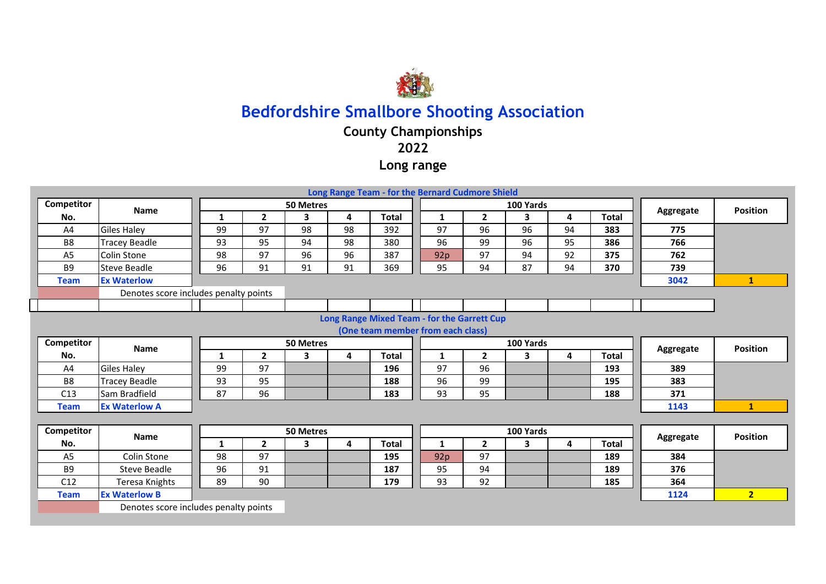

## **County Championships**

### **2022**

### **Long range**

|                                             |                                       |                  |                |                  |    | Long Range Team - for the Bernard Cudmore Shield |  |              |                |              |           |                 |           |                 |
|---------------------------------------------|---------------------------------------|------------------|----------------|------------------|----|--------------------------------------------------|--|--------------|----------------|--------------|-----------|-----------------|-----------|-----------------|
| Competitor                                  | <b>Name</b>                           |                  |                | 50 Metres        |    |                                                  |  |              |                | 100 Yards    |           |                 | Aggregate | <b>Position</b> |
| No.                                         |                                       | 1                | $\overline{2}$ | 3                | 4  | <b>Total</b>                                     |  | 1            | $\overline{2}$ | 3            | 4         | <b>Total</b>    |           |                 |
| A4                                          | <b>Giles Haley</b>                    | 99               | 97             | 98               | 98 | 392                                              |  | 97           | 96             | 96           | 94        | 383             | 775       |                 |
| B <sub>8</sub>                              | Tracey Beadle                         | 93               | 95             | 94               | 98 | 380                                              |  | 96           | 99             | 96           | 95        | 386             | 766       |                 |
| A <sub>5</sub>                              | Colin Stone                           | 98               | 97             | 96               | 96 | 387                                              |  | 92p          | 97             | 94           | 92        | 375             | 762       |                 |
| B <sub>9</sub>                              | <b>Steve Beadle</b>                   | 96               | 91             | 91               | 91 | 369                                              |  | 95           | 94             | 87           | 94        | 370             | 739       |                 |
| <b>Team</b>                                 | <b>Ex Waterlow</b>                    |                  |                |                  |    |                                                  |  |              |                |              |           |                 | 3042      | $\mathbf{1}$    |
|                                             | Denotes score includes penalty points |                  |                |                  |    |                                                  |  |              |                |              |           |                 |           |                 |
|                                             |                                       |                  |                |                  |    |                                                  |  |              |                |              |           |                 |           |                 |
| Long Range Mixed Team - for the Garrett Cup |                                       |                  |                |                  |    |                                                  |  |              |                |              |           |                 |           |                 |
| (One team member from each class)           |                                       |                  |                |                  |    |                                                  |  |              |                |              |           |                 |           |                 |
| Competitor                                  | <b>Name</b>                           | <b>50 Metres</b> |                |                  |    |                                                  |  |              |                | 100 Yards    | Aggregate | <b>Position</b> |           |                 |
| No.                                         |                                       | 1                | $\overline{2}$ | 3                | 4  | <b>Total</b>                                     |  | $\mathbf{1}$ | $\overline{2}$ | $\mathbf{3}$ | 4         | <b>Total</b>    |           |                 |
| A <sub>4</sub>                              | <b>Giles Haley</b>                    | 99               | 97             |                  |    | 196                                              |  | 97           | 96             |              |           | 193             | 389       |                 |
| B <sub>8</sub>                              | <b>Tracey Beadle</b>                  | 93               | 95             |                  |    | 188                                              |  | 96           | 99             |              |           | 195             | 383       |                 |
| C13                                         | Sam Bradfield                         | 87               | 96             |                  |    | 183                                              |  | 93           | 95             |              |           | 188             | 371       |                 |
| <b>Team</b>                                 | <b>Ex Waterlow A</b>                  |                  |                |                  |    |                                                  |  |              |                |              |           |                 | 1143      | $\mathbf{1}$    |
|                                             |                                       |                  |                |                  |    |                                                  |  |              |                |              |           |                 |           |                 |
| Competitor                                  | <b>Name</b>                           |                  |                | <b>50 Metres</b> |    |                                                  |  |              |                | 100 Yards    |           |                 |           | <b>Position</b> |
| No.                                         |                                       | 1                | $\mathbf{2}$   | 3                | 4  | <b>Total</b>                                     |  | 1            | $\overline{2}$ | 3            | 4         | <b>Total</b>    | Aggregate |                 |
| A <sub>5</sub>                              | Colin Stone                           | 98               | 97             |                  |    | 195                                              |  | 92p          | 97             |              |           | 189             | 384       |                 |
| <b>B9</b>                                   | Steve Beadle                          | 96               | 91             |                  |    | 187                                              |  | 95           | 94             |              |           | 189             | 376       |                 |
| C12                                         | Teresa Knights                        | 89               | 90             |                  |    | 179                                              |  | 93           | 92             |              |           | 185             | 364       |                 |
| <b>Team</b>                                 | <b>Ex Waterlow B</b>                  |                  |                |                  |    |                                                  |  |              |                |              |           |                 | 1124      | 2 <sup>1</sup>  |
|                                             | Denotes score includes penalty points |                  |                |                  |    |                                                  |  |              |                |              |           |                 |           |                 |
|                                             |                                       |                  |                |                  |    |                                                  |  |              |                |              |           |                 |           |                 |